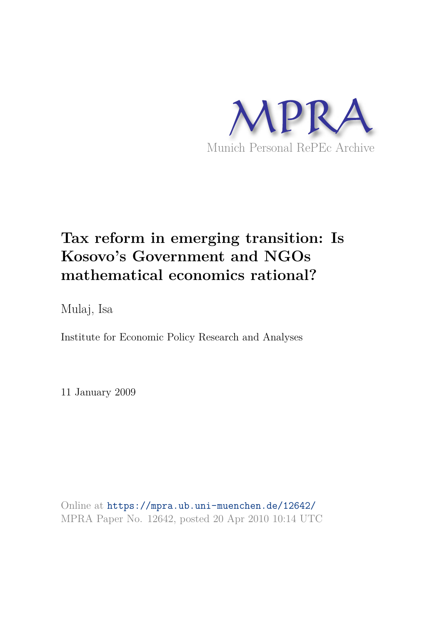

# **Tax reform in emerging transition: Is Kosovo's Government and NGOs mathematical economics rational?**

Mulaj, Isa

Institute for Economic Policy Research and Analyses

11 January 2009

Online at https://mpra.ub.uni-muenchen.de/12642/ MPRA Paper No. 12642, posted 20 Apr 2010 10:14 UTC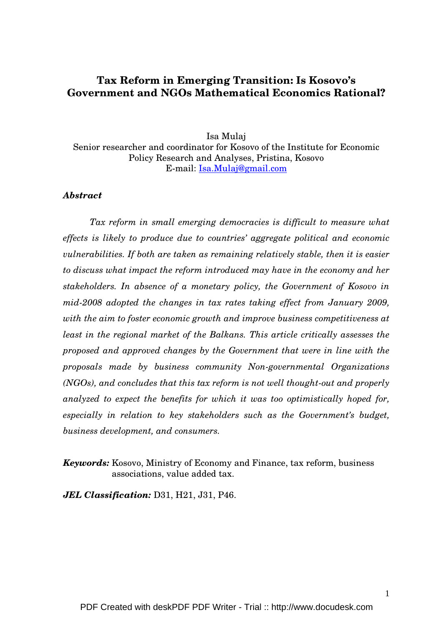# **Tax Reform in Emerging Transition: Is Kosovo's Government and NGOs Mathematical Economics Rational?**

Isa Mulaj Senior researcher and coordinator for Kosovo of the Institute for Economic Policy Research and Analyses, Pristina, Kosovo E-mail: Isa.Mulaj@gmail.com

# *Abstract*

*Tax reform in small emerging democracies is difficult to measure what effects is likely to produce due to countries' aggregate political and economic vulnerabilities. If both are taken as remaining relatively stable, then it is easier to discuss what impact the reform introduced may have in the economy and her stakeholders. In absence of a monetary policy, the Government of Kosovo in mid-2008 adopted the changes in tax rates taking effect from January 2009, with the aim to foster economic growth and improve business competitiveness at least in the regional market of the Balkans. This article critically assesses the proposed and approved changes by the Government that were in line with the proposals made by business community Non-governmental Organizations (NGOs), and concludes that this tax reform is not well thought-out and properly analyzed to expect the benefits for which it was too optimistically hoped for, especially in relation to key stakeholders such as the Government's budget, business development, and consumers.* 

*Keywords:* Kosovo, Ministry of Economy and Finance, tax reform, business associations, value added tax.

*JEL Classification:* D31, H21, J31, P46.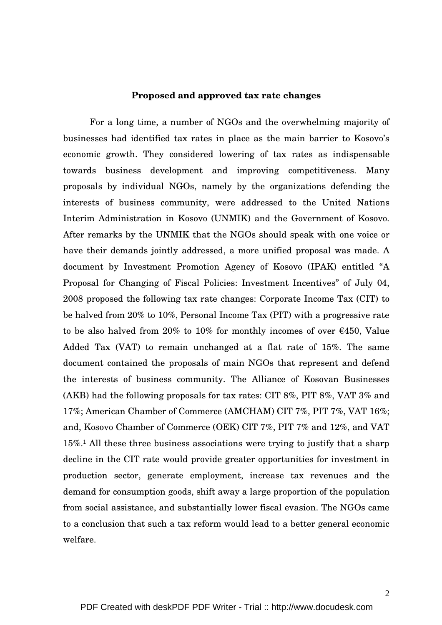### **Proposed and approved tax rate changes**

For a long time, a number of NGOs and the overwhelming majority of businesses had identified tax rates in place as the main barrier to Kosovo's economic growth. They considered lowering of tax rates as indispensable towards business development and improving competitiveness. Many proposals by individual NGOs, namely by the organizations defending the interests of business community, were addressed to the United Nations Interim Administration in Kosovo (UNMIK) and the Government of Kosovo. After remarks by the UNMIK that the NGOs should speak with one voice or have their demands jointly addressed, a more unified proposal was made. A document by Investment Promotion Agency of Kosovo (IPAK) entitled "A Proposal for Changing of Fiscal Policies: Investment Incentives" of July 04, 2008 proposed the following tax rate changes: Corporate Income Tax (CIT) to be halved from 20% to 10%, Personal Income Tax (PIT) with a progressive rate to be also halved from 20% to 10% for monthly incomes of over  $\epsilon$ 450, Value Added Tax (VAT) to remain unchanged at a flat rate of 15%. The same document contained the proposals of main NGOs that represent and defend the interests of business community. The Alliance of Kosovan Businesses (AKB) had the following proposals for tax rates: CIT 8%, PIT 8%, VAT 3% and 17%; American Chamber of Commerce (AMCHAM) CIT 7%, PIT 7%, VAT 16%; and, Kosovo Chamber of Commerce (OEK) CIT 7%, PIT 7% and 12%, and VAT 15%.1 All these three business associations were trying to justify that a sharp decline in the CIT rate would provide greater opportunities for investment in production sector, generate employment, increase tax revenues and the demand for consumption goods, shift away a large proportion of the population from social assistance, and substantially lower fiscal evasion. The NGOs came to a conclusion that such a tax reform would lead to a better general economic welfare.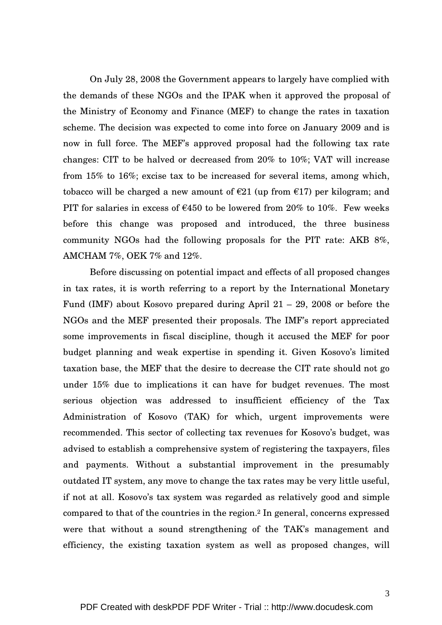On July 28, 2008 the Government appears to largely have complied with the demands of these NGOs and the IPAK when it approved the proposal of the Ministry of Economy and Finance (MEF) to change the rates in taxation scheme. The decision was expected to come into force on January 2009 and is now in full force. The MEF's approved proposal had the following tax rate changes: CIT to be halved or decreased from 20% to 10%; VAT will increase from 15% to 16%; excise tax to be increased for several items, among which, tobacco will be charged a new amount of  $\epsilon$ 21 (up from  $\epsilon$ 17) per kilogram; and PIT for salaries in excess of  $\epsilon$ 450 to be lowered from 20% to 10%. Few weeks before this change was proposed and introduced, the three business community NGOs had the following proposals for the PIT rate: AKB 8%, AMCHAM 7%, OEK 7% and 12%.

Before discussing on potential impact and effects of all proposed changes in tax rates, it is worth referring to a report by the International Monetary Fund (IMF) about Kosovo prepared during April 21 – 29, 2008 or before the NGOs and the MEF presented their proposals. The IMF's report appreciated some improvements in fiscal discipline, though it accused the MEF for poor budget planning and weak expertise in spending it. Given Kosovo's limited taxation base, the MEF that the desire to decrease the CIT rate should not go under 15% due to implications it can have for budget revenues. The most serious objection was addressed to insufficient efficiency of the Tax Administration of Kosovo (TAK) for which, urgent improvements were recommended. This sector of collecting tax revenues for Kosovo's budget, was advised to establish a comprehensive system of registering the taxpayers, files and payments. Without a substantial improvement in the presumably outdated IT system, any move to change the tax rates may be very little useful, if not at all. Kosovo's tax system was regarded as relatively good and simple compared to that of the countries in the region.2 In general, concerns expressed were that without a sound strengthening of the TAK's management and efficiency, the existing taxation system as well as proposed changes, will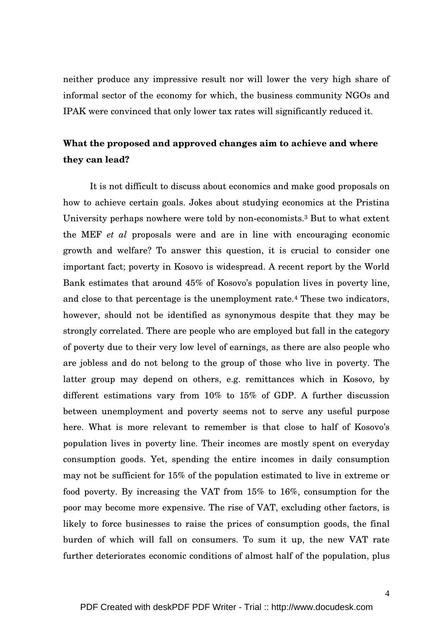neither produce any impressive result nor will lower the very high share of informal sector of the economy for which, the business community NGOs and IPAK were convinced that only lower tax rates will significantly reduced it.

# **What the proposed and approved changes aim to achieve and where they can lead?**

It is not difficult to discuss about economics and make good proposals on how to achieve certain goals. Jokes about studying economics at the Pristina University perhaps nowhere were told by non-economists.3 But to what extent the MEF *et al* proposals were and are in line with encouraging economic growth and welfare? To answer this question, it is crucial to consider one important fact; poverty in Kosovo is widespread. A recent report by the World Bank estimates that around 45% of Kosovo's population lives in poverty line, and close to that percentage is the unemployment rate.4 These two indicators, however, should not be identified as synonymous despite that they may be strongly correlated. There are people who are employed but fall in the category of poverty due to their very low level of earnings, as there are also people who are jobless and do not belong to the group of those who live in poverty. The latter group may depend on others, e.g. remittances which in Kosovo, by different estimations vary from 10% to 15% of GDP. A further discussion between unemployment and poverty seems not to serve any useful purpose here. What is more relevant to remember is that close to half of Kosovo's population lives in poverty line. Their incomes are mostly spent on everyday consumption goods. Yet, spending the entire incomes in daily consumption may not be sufficient for 15% of the population estimated to live in extreme or food poverty. By increasing the VAT from 15% to 16%, consumption for the poor may become more expensive. The rise of VAT, excluding other factors, is likely to force businesses to raise the prices of consumption goods, the final burden of which will fall on consumers. To sum it up, the new VAT rate further deteriorates economic conditions of almost half of the population, plus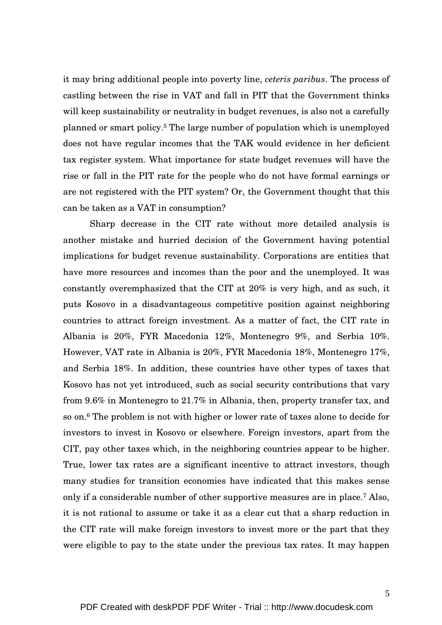it may bring additional people into poverty line, *ceteris paribus*. The process of castling between the rise in VAT and fall in PIT that the Government thinks will keep sustainability or neutrality in budget revenues, is also not a carefully planned or smart policy.5 The large number of population which is unemployed does not have regular incomes that the TAK would evidence in her deficient tax register system. What importance for state budget revenues will have the rise or fall in the PIT rate for the people who do not have formal earnings or are not registered with the PIT system? Or, the Government thought that this can be taken as a VAT in consumption?

Sharp decrease in the CIT rate without more detailed analysis is another mistake and hurried decision of the Government having potential implications for budget revenue sustainability. Corporations are entities that have more resources and incomes than the poor and the unemployed. It was constantly overemphasized that the CIT at 20% is very high, and as such, it puts Kosovo in a disadvantageous competitive position against neighboring countries to attract foreign investment. As a matter of fact, the CIT rate in Albania is 20%, FYR Macedonia 12%, Montenegro 9%, and Serbia 10%. However, VAT rate in Albania is 20%, FYR Macedonia 18%, Montenegro 17%, and Serbia 18%. In addition, these countries have other types of taxes that Kosovo has not yet introduced, such as social security contributions that vary from 9.6% in Montenegro to 21.7% in Albania, then, property transfer tax, and so on.6 The problem is not with higher or lower rate of taxes alone to decide for investors to invest in Kosovo or elsewhere. Foreign investors, apart from the CIT, pay other taxes which, in the neighboring countries appear to be higher. True, lower tax rates are a significant incentive to attract investors, though many studies for transition economies have indicated that this makes sense only if a considerable number of other supportive measures are in place.7 Also, it is not rational to assume or take it as a clear cut that a sharp reduction in the CIT rate will make foreign investors to invest more or the part that they were eligible to pay to the state under the previous tax rates. It may happen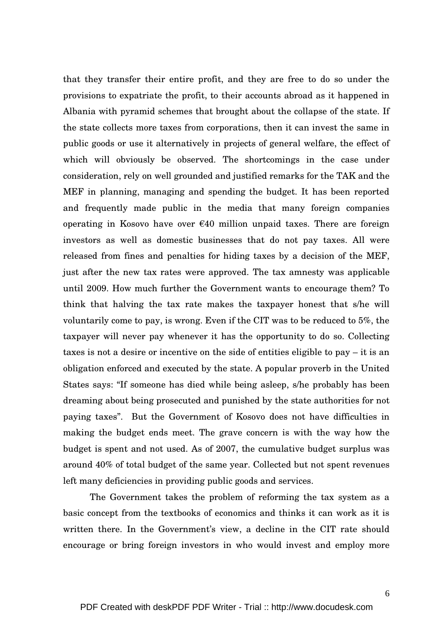that they transfer their entire profit, and they are free to do so under the provisions to expatriate the profit, to their accounts abroad as it happened in Albania with pyramid schemes that brought about the collapse of the state. If the state collects more taxes from corporations, then it can invest the same in public goods or use it alternatively in projects of general welfare, the effect of which will obviously be observed. The shortcomings in the case under consideration, rely on well grounded and justified remarks for the TAK and the MEF in planning, managing and spending the budget. It has been reported and frequently made public in the media that many foreign companies operating in Kosovo have over  $\epsilon$ 40 million unpaid taxes. There are foreign investors as well as domestic businesses that do not pay taxes. All were released from fines and penalties for hiding taxes by a decision of the MEF, just after the new tax rates were approved. The tax amnesty was applicable until 2009. How much further the Government wants to encourage them? To think that halving the tax rate makes the taxpayer honest that s/he will voluntarily come to pay, is wrong. Even if the CIT was to be reduced to 5%, the taxpayer will never pay whenever it has the opportunity to do so. Collecting taxes is not a desire or incentive on the side of entities eligible to pay – it is an obligation enforced and executed by the state. A popular proverb in the United States says: "If someone has died while being asleep, s/he probably has been dreaming about being prosecuted and punished by the state authorities for not paying taxes". But the Government of Kosovo does not have difficulties in making the budget ends meet. The grave concern is with the way how the budget is spent and not used. As of 2007, the cumulative budget surplus was around 40% of total budget of the same year. Collected but not spent revenues left many deficiencies in providing public goods and services.

The Government takes the problem of reforming the tax system as a basic concept from the textbooks of economics and thinks it can work as it is written there. In the Government's view, a decline in the CIT rate should encourage or bring foreign investors in who would invest and employ more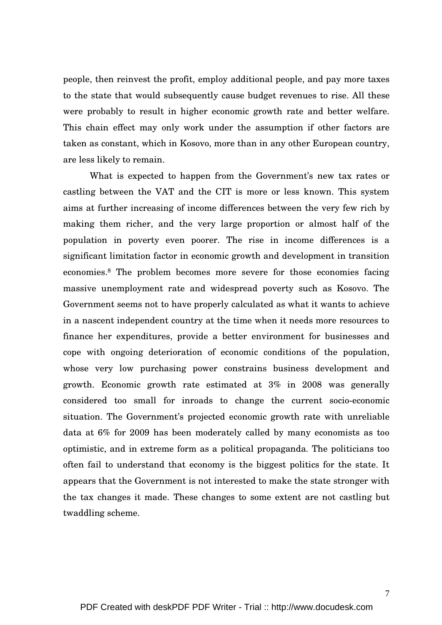people, then reinvest the profit, employ additional people, and pay more taxes to the state that would subsequently cause budget revenues to rise. All these were probably to result in higher economic growth rate and better welfare. This chain effect may only work under the assumption if other factors are taken as constant, which in Kosovo, more than in any other European country, are less likely to remain.

What is expected to happen from the Government's new tax rates or castling between the VAT and the CIT is more or less known. This system aims at further increasing of income differences between the very few rich by making them richer, and the very large proportion or almost half of the population in poverty even poorer. The rise in income differences is a significant limitation factor in economic growth and development in transition economies.8 The problem becomes more severe for those economies facing massive unemployment rate and widespread poverty such as Kosovo. The Government seems not to have properly calculated as what it wants to achieve in a nascent independent country at the time when it needs more resources to finance her expenditures, provide a better environment for businesses and cope with ongoing deterioration of economic conditions of the population, whose very low purchasing power constrains business development and growth. Economic growth rate estimated at 3% in 2008 was generally considered too small for inroads to change the current socio-economic situation. The Government's projected economic growth rate with unreliable data at 6% for 2009 has been moderately called by many economists as too optimistic, and in extreme form as a political propaganda. The politicians too often fail to understand that economy is the biggest politics for the state. It appears that the Government is not interested to make the state stronger with the tax changes it made. These changes to some extent are not castling but twaddling scheme.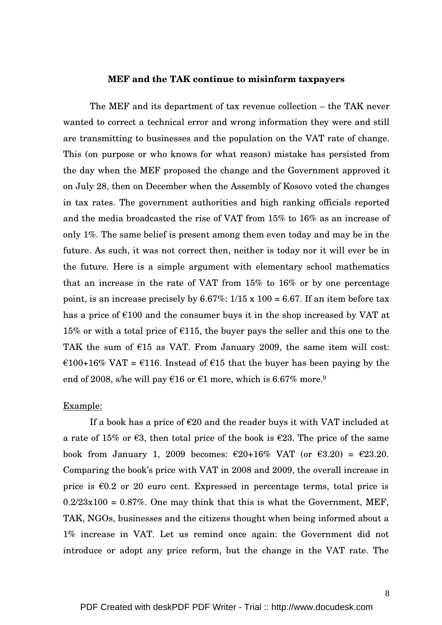#### **MEF and the TAK continue to misinform taxpayers**

The MEF and its department of tax revenue collection – the TAK never wanted to correct a technical error and wrong information they were and still are transmitting to businesses and the population on the VAT rate of change. This (on purpose or who knows for what reason) mistake has persisted from the day when the MEF proposed the change and the Government approved it on July 28, then on December when the Assembly of Kosovo voted the changes in tax rates. The government authorities and high ranking officials reported and the media broadcasted the rise of VAT from 15% to 16% as an increase of only 1%. The same belief is present among them even today and may be in the future. As such, it was not correct then, neither is today nor it will ever be in the future. Here is a simple argument with elementary school mathematics that an increase in the rate of VAT from 15% to 16% or by one percentage point, is an increase precisely by  $6.67\%$ :  $1/15 \times 100 = 6.67$ . If an item before tax has a price of  $\epsilon$ 100 and the consumer buys it in the shop increased by VAT at 15% or with a total price of  $\epsilon$ 115, the buyer pays the seller and this one to the TAK the sum of  $\epsilon$ 15 as VAT. From January 2009, the same item will cost: €100+16% VAT = €116. Instead of €15 that the buyer has been paying by the end of 2008, s/he will pay  $\epsilon$ 16 or  $\epsilon$ 1 more, which is 6.67% more.<sup>9</sup>

# Example:

If a book has a price of  $\epsilon$ 20 and the reader buys it with VAT included at a rate of 15% or  $\epsilon$ 3, then total price of the book is  $\epsilon$ 23. The price of the same book from January 1, 2009 becomes:  $\epsilon$ 20+16% VAT (or  $\epsilon$ 3.20) =  $\epsilon$ 23.20. Comparing the book's price with VAT in 2008 and 2009, the overall increase in price is  $\epsilon$ 0.2 or 20 euro cent. Expressed in percentage terms, total price is  $0.2/23x100 = 0.87\%$ . One may think that this is what the Government, MEF, TAK, NGOs, businesses and the citizens thought when being informed about a 1% increase in VAT. Let us remind once again: the Government did not introduce or adopt any price reform, but the change in the VAT rate. The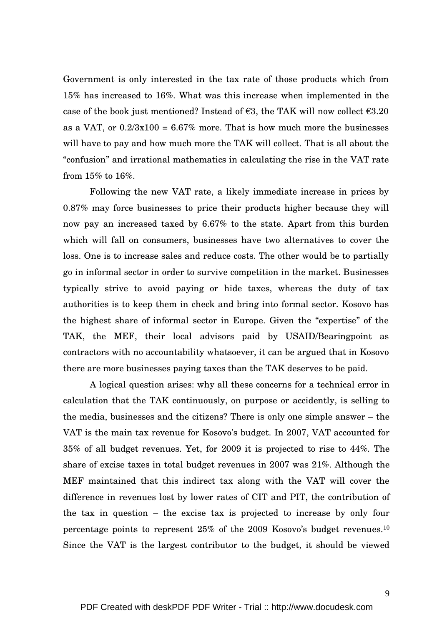Government is only interested in the tax rate of those products which from 15% has increased to 16%. What was this increase when implemented in the case of the book just mentioned? Instead of  $\epsilon$ 3, the TAK will now collect  $\epsilon$ 3.20 as a VAT, or  $0.2/3x100 = 6.67\%$  more. That is how much more the businesses will have to pay and how much more the TAK will collect. That is all about the "confusion" and irrational mathematics in calculating the rise in the VAT rate from 15% to 16%.

 Following the new VAT rate, a likely immediate increase in prices by 0.87% may force businesses to price their products higher because they will now pay an increased taxed by 6.67% to the state. Apart from this burden which will fall on consumers, businesses have two alternatives to cover the loss. One is to increase sales and reduce costs. The other would be to partially go in informal sector in order to survive competition in the market. Businesses typically strive to avoid paying or hide taxes, whereas the duty of tax authorities is to keep them in check and bring into formal sector. Kosovo has the highest share of informal sector in Europe. Given the "expertise" of the TAK, the MEF, their local advisors paid by USAID/Bearingpoint as contractors with no accountability whatsoever, it can be argued that in Kosovo there are more businesses paying taxes than the TAK deserves to be paid.

A logical question arises: why all these concerns for a technical error in calculation that the TAK continuously, on purpose or accidently, is selling to the media, businesses and the citizens? There is only one simple answer – the VAT is the main tax revenue for Kosovo's budget. In 2007, VAT accounted for 35% of all budget revenues. Yet, for 2009 it is projected to rise to 44%. The share of excise taxes in total budget revenues in 2007 was 21%. Although the MEF maintained that this indirect tax along with the VAT will cover the difference in revenues lost by lower rates of CIT and PIT, the contribution of the tax in question – the excise tax is projected to increase by only four percentage points to represent 25% of the 2009 Kosovo's budget revenues.<sup>10</sup> Since the VAT is the largest contributor to the budget, it should be viewed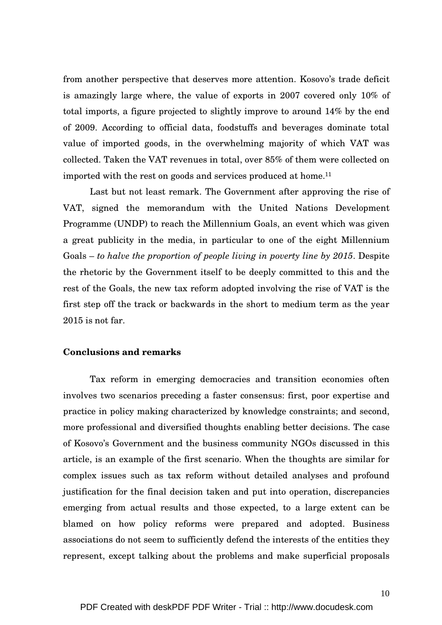from another perspective that deserves more attention. Kosovo's trade deficit is amazingly large where, the value of exports in 2007 covered only 10% of total imports, a figure projected to slightly improve to around 14% by the end of 2009. According to official data, foodstuffs and beverages dominate total value of imported goods, in the overwhelming majority of which VAT was collected. Taken the VAT revenues in total, over 85% of them were collected on imported with the rest on goods and services produced at home.<sup>11</sup>

Last but not least remark. The Government after approving the rise of VAT, signed the memorandum with the United Nations Development Programme (UNDP) to reach the Millennium Goals, an event which was given a great publicity in the media, in particular to one of the eight Millennium Goals – *to halve the proportion of people living in poverty line by 2015*. Despite the rhetoric by the Government itself to be deeply committed to this and the rest of the Goals, the new tax reform adopted involving the rise of VAT is the first step off the track or backwards in the short to medium term as the year 2015 is not far.

### **Conclusions and remarks**

 Tax reform in emerging democracies and transition economies often involves two scenarios preceding a faster consensus: first, poor expertise and practice in policy making characterized by knowledge constraints; and second, more professional and diversified thoughts enabling better decisions. The case of Kosovo's Government and the business community NGOs discussed in this article, is an example of the first scenario. When the thoughts are similar for complex issues such as tax reform without detailed analyses and profound justification for the final decision taken and put into operation, discrepancies emerging from actual results and those expected, to a large extent can be blamed on how policy reforms were prepared and adopted. Business associations do not seem to sufficiently defend the interests of the entities they represent, except talking about the problems and make superficial proposals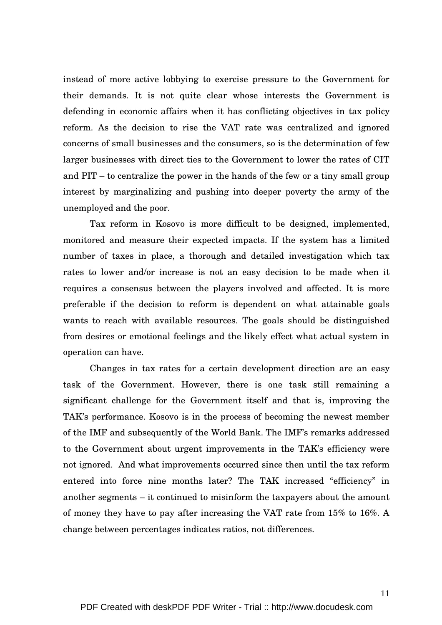instead of more active lobbying to exercise pressure to the Government for their demands. It is not quite clear whose interests the Government is defending in economic affairs when it has conflicting objectives in tax policy reform. As the decision to rise the VAT rate was centralized and ignored concerns of small businesses and the consumers, so is the determination of few larger businesses with direct ties to the Government to lower the rates of CIT and PIT – to centralize the power in the hands of the few or a tiny small group interest by marginalizing and pushing into deeper poverty the army of the unemployed and the poor.

 Tax reform in Kosovo is more difficult to be designed, implemented, monitored and measure their expected impacts. If the system has a limited number of taxes in place, a thorough and detailed investigation which tax rates to lower and/or increase is not an easy decision to be made when it requires a consensus between the players involved and affected. It is more preferable if the decision to reform is dependent on what attainable goals wants to reach with available resources. The goals should be distinguished from desires or emotional feelings and the likely effect what actual system in operation can have.

Changes in tax rates for a certain development direction are an easy task of the Government. However, there is one task still remaining a significant challenge for the Government itself and that is, improving the TAK's performance. Kosovo is in the process of becoming the newest member of the IMF and subsequently of the World Bank. The IMF's remarks addressed to the Government about urgent improvements in the TAK's efficiency were not ignored. And what improvements occurred since then until the tax reform entered into force nine months later? The TAK increased "efficiency" in another segments – it continued to misinform the taxpayers about the amount of money they have to pay after increasing the VAT rate from 15% to 16%. A change between percentages indicates ratios, not differences.